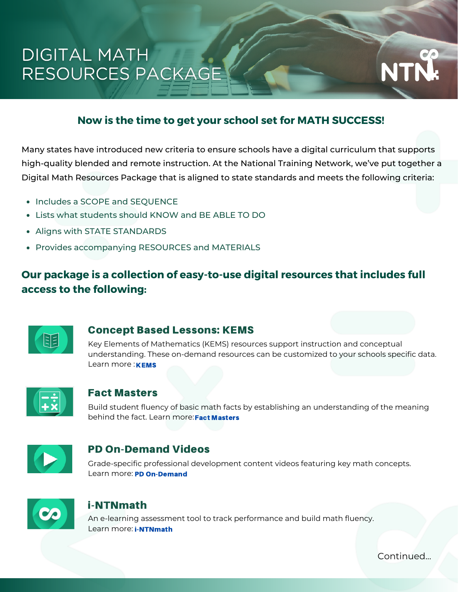# **DIGITAL MATH** RESOURCES PACKAGE

### **Now is the time to get your school set for MATH SUCCESS!**

Many states have introduced new criteria to ensure schools have a digital curriculum that supports high-quality blended and remote instruction. At the National Training Network, we've put together a Digital Math Resources Package that is aligned to state standards and meets the following criteria:

- Includes a SCOPE and SEQUENCE
- Lists what students should KNOW and BE ABLE TO DO
- Aligns with STATE STANDARDS
- Provides accompanying RESOURCES and MATERIALS

## **Our package is a collection of easy-to-use digital resources that includes full access to the following:**



#### Concept Based Lessons: KEMS

Key Elements of Mathematics (KEMS) resources support instruction and conceptual understanding. These on-demand resources can be customized to your schools specific data. Learn more: **KEMS** 



#### Fact Masters

Build student fluency of basic math facts by establishing an understanding of the meaning behind the fact. Learn more: Fact Masters



### PD On-Demand Videos

Grade-specific professional development content videos featuring key math concepts. Learn more: PD On-Demand



### i-NTNmath

An e-learning assessment tool to track performance and build math fluency. Learn more: i-NTNmath

Continued...